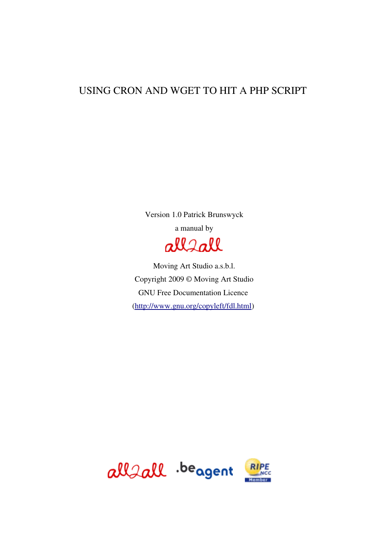### USING CRON AND WGET TO HIT A PHP SCRIPT

Version 1.0 Patrick Brunswyck a manual by



Moving Art Studio a.s.b.l. Copyright 2009 © Moving Art Studio GNU Free Documentation Licence [\(http://www.gnu.org/copyleft/fdl.html\)](http://www.gnu.org/copyleft/fdl.html)

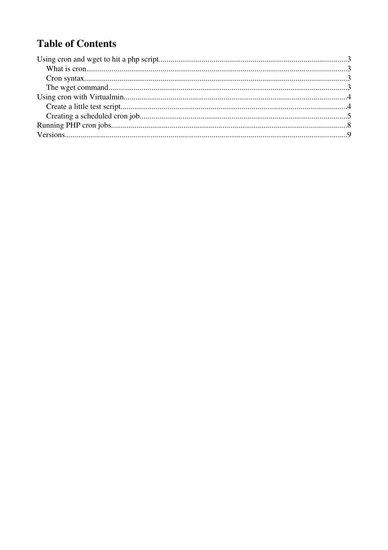# **Table of Contents**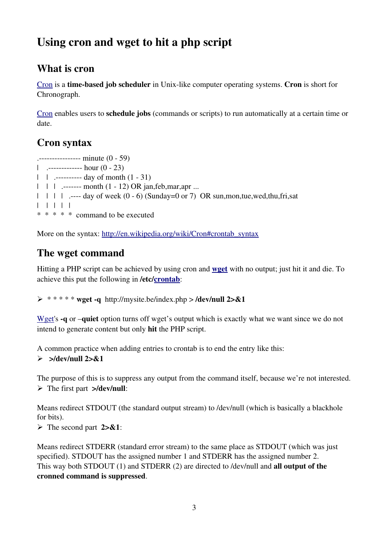# Using cron and wget to hit a php script

## What is cron

[Cron](http://en.wikipedia.org/wiki/Cron) is a **time-based job scheduler** in Unix-like computer operating systems. Cron is short for Chronograph.

[Cron](http://en.wikipedia.org/wiki/Cron) enables users to schedule jobs (commands or scripts) to run automatically at a certain time or date.

## Cron syntax

 $\cdots$  = = = = = = = = = = minute (0 - 59) | . hour (0 23) | | . day of month (1 31) |  $\|$  |  $\|$  .------ month  $(1 - 12)$  OR jan, feb, mar, apr ...  $|$  |  $|$  |  $|$  .--- day of week (0 - 6) (Sunday=0 or 7) OR sun,mon,tue,wed,thu,fri,sat | | | | | \* \* \* \* \* command to be executed

More on the syntax: [http://en.wikipedia.org/wiki/Cron#crontab\\_syntax](http://en.wikipedia.org/wiki/Cron#crontab_syntax)

## The wget command

Hitting a PHP script can be achieved by using cron and **[wget](http://www.gnu.org/software/wget/manual/wget.html#Overview)** with no output; just hit it and die. To achieve this put the following in /etc[/crontab](http://www.gnu.org/software/mcron/manual/html_node/Crontab-file.html):

 $\triangleright$  \*\*\*\*\* wget -q http://mysite.be/index.php > /dev/null 2>&1

[Wget'](http://www.gnu.org/software/wget/manual/wget.html#Overview)s **-q** or **–quiet** option turns off wget's output which is exactly what we want since we do not intend to generate content but only hit the PHP script.

A common practice when adding entries to crontab is to end the entry like this:  $\geq$  >/dev/null 2>&1

The purpose of this is to suppress any output from the command itself, because we're not interested.  $\triangleright$  The first part  $>\!\!\!\triangleleft$  dev/null:

Means redirect STDOUT (the standard output stream) to /dev/null (which is basically a blackhole for bits).

 $\triangleright$  The second part 2>&1:

Means redirect STDERR (standard error stream) to the same place as STDOUT (which was just specified). STDOUT has the assigned number 1 and STDERR has the assigned number 2. This way both STDOUT (1) and STDERR (2) are directed to /dev/null and all output of the cronned command is suppressed.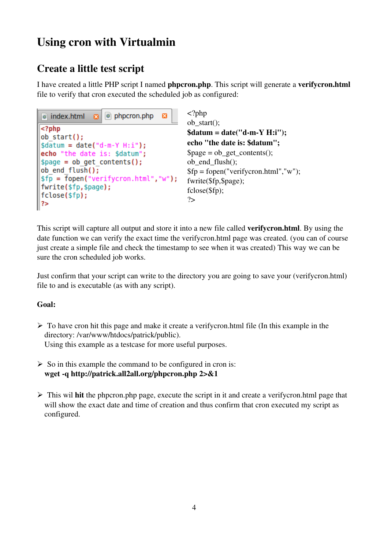## Using cron with Virtualmin

## Create a little test script

I have created a little PHP script I named phpcron.php. This script will generate a verifycron.html file to verify that cron executed the scheduled job as configured:

| $\circ$ index.html $\bullet$ $\circ$ phpcron.php<br>×                                                                                                                                                                                                                                                                              | $\langle$ ?php                                                                                 |
|------------------------------------------------------------------------------------------------------------------------------------------------------------------------------------------------------------------------------------------------------------------------------------------------------------------------------------|------------------------------------------------------------------------------------------------|
| $\leq$ ?php<br>$\left\  \right\ $ ob start $()$ ;<br>$\begin{cases}\n\text{sdatum} = \text{date('d-m-Y H:i');} \\ \text{echo "the date is: $datum";} \\ \text{space = ob.get_counts();} \\ \text{ob\_end_flush();}\n\end{cases}$<br>sfp = fopen("verifycron.html","w");<br>fwrite(\$fp,\$page);<br>fclose(\$fp);<br>$\parallel$ ?> | $ob\_st$<br>\$datu<br>echo<br><b>Spage</b><br>ob_er<br>$$fp =$<br>fwrite<br>fclose<br>$\gamma$ |

 $\overline{p}$ art $()$ ;  $um = date('d-m-Y H:i'');$ "the date is: \$datum";  $e = ob\_get\_contents();$  $nd$  flush $()$ ; fopen("verifycron.html","w");  $e$ (\$fp,\$page);  $e$ (\$fp);

This script will capture all output and store it into a new file called verifycron.html. By using the date function we can verify the exact time the verifycron.html page was created. (you can of course just create a simple file and check the timestamp to see when it was created) This way we can be sure the cron scheduled job works.

Just confirm that your script can write to the directory you are going to save your (verifycron.html) file to and is executable (as with any script).

#### Goal:

- $\triangleright$  To have cron hit this page and make it create a verifycron.html file (In this example in the directory: /var/www/htdocs/patrick/public). Using this example as a testcase for more useful purposes.
- $\triangleright$  So in this example the command to be configured in cron is: wget -q http://patrick.all2all.org/phpcron.php 2>&1
- $\triangleright$  This wil hit the phpcron.php page, execute the script in it and create a verifycron.html page that will show the exact date and time of creation and thus confirm that cron executed my script as configured.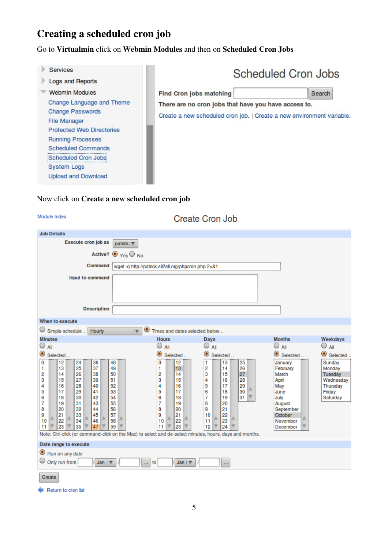## Creating a scheduled cron job

Go to Virtualmin click on Webmin Modules and then on Scheduled Cron Jobs



### Now click on Create a new scheduled cron job

<span id="page-4-0"></span>

| Module Index                                                                                                                                                                                                                                                                                                                                                                                                                                                                                                                    |                                                                                                                                         | <b>Create Cron Job</b>                                                                                                                                                                            |                                                                                                                        |                                                                            |
|---------------------------------------------------------------------------------------------------------------------------------------------------------------------------------------------------------------------------------------------------------------------------------------------------------------------------------------------------------------------------------------------------------------------------------------------------------------------------------------------------------------------------------|-----------------------------------------------------------------------------------------------------------------------------------------|---------------------------------------------------------------------------------------------------------------------------------------------------------------------------------------------------|------------------------------------------------------------------------------------------------------------------------|----------------------------------------------------------------------------|
| <b>Job Details</b>                                                                                                                                                                                                                                                                                                                                                                                                                                                                                                              |                                                                                                                                         |                                                                                                                                                                                                   |                                                                                                                        |                                                                            |
| Execute cron job as<br>patrick $\nabla$                                                                                                                                                                                                                                                                                                                                                                                                                                                                                         |                                                                                                                                         |                                                                                                                                                                                                   |                                                                                                                        |                                                                            |
| Active? $\odot$ Yes $\odot$ No                                                                                                                                                                                                                                                                                                                                                                                                                                                                                                  |                                                                                                                                         |                                                                                                                                                                                                   |                                                                                                                        |                                                                            |
|                                                                                                                                                                                                                                                                                                                                                                                                                                                                                                                                 |                                                                                                                                         |                                                                                                                                                                                                   |                                                                                                                        |                                                                            |
| Command                                                                                                                                                                                                                                                                                                                                                                                                                                                                                                                         | wget -q http://patrick.all2all.org/phpcron.php 2>&1                                                                                     |                                                                                                                                                                                                   |                                                                                                                        |                                                                            |
| Input to command                                                                                                                                                                                                                                                                                                                                                                                                                                                                                                                |                                                                                                                                         |                                                                                                                                                                                                   |                                                                                                                        |                                                                            |
| <b>Description</b>                                                                                                                                                                                                                                                                                                                                                                                                                                                                                                              |                                                                                                                                         |                                                                                                                                                                                                   |                                                                                                                        |                                                                            |
| When to execute                                                                                                                                                                                                                                                                                                                                                                                                                                                                                                                 |                                                                                                                                         |                                                                                                                                                                                                   |                                                                                                                        |                                                                            |
| $\bigcirc$ Simple schedule<br>$\bullet$<br>Hourly<br>$\overline{\nabla}$                                                                                                                                                                                                                                                                                                                                                                                                                                                        | Times and dates selected below                                                                                                          |                                                                                                                                                                                                   |                                                                                                                        |                                                                            |
| <b>Minutes</b>                                                                                                                                                                                                                                                                                                                                                                                                                                                                                                                  | <b>Hours</b>                                                                                                                            | Days                                                                                                                                                                                              | <b>Months</b>                                                                                                          | Weekdays                                                                   |
| $\bigcirc$ all                                                                                                                                                                                                                                                                                                                                                                                                                                                                                                                  | $\bigcirc$ all                                                                                                                          | $\bigcirc$ aii                                                                                                                                                                                    | $\bigcirc$ aii                                                                                                         | $\bigcirc$ all                                                             |
| $\bullet$<br>Selected                                                                                                                                                                                                                                                                                                                                                                                                                                                                                                           | $\bullet$<br>Selected                                                                                                                   | $\bullet$<br>Selected                                                                                                                                                                             | $\bullet$ Selected                                                                                                     | Selected                                                                   |
| 0<br>12<br>24<br>36<br>48<br>25<br>37<br>49<br>1<br>13<br>26<br>2<br>14<br>38<br>50<br>3<br>15<br>27<br>39<br>51<br>4<br>16<br>28<br>40<br>52<br>5<br>17<br>29<br>41<br>53<br>6<br>18<br>30<br>42<br>54<br>7<br>19<br>31<br>43<br>55<br>8<br>20<br>32<br>44<br>56<br>9<br>21<br>33<br>45<br>57<br>Δ<br>Δ<br>Δ<br>Δ<br>Δ<br>10<br>22<br>34<br>46<br>58<br>$\overline{\nabla}$<br>23<br>35<br>47<br>59<br>₩<br>11<br>₩<br>Note: Ctrl-click (or command-click on the Mac) to select and de-select minutes, hours, days and months. | 12<br>0<br>1<br>13<br>2<br>14<br>3<br>15<br>16<br>4<br>5<br>17<br>6<br>18<br>7<br>19<br>20<br>8<br>9<br>21<br>Δ<br>22<br>10<br>11<br>23 | 25<br>13<br>1<br>2<br>26<br>14<br>27<br>3<br>15<br>4<br>28<br>16<br>5<br>29<br>17<br>Δ<br>6<br>30<br>18<br>7<br>31<br>19<br>▽<br>8<br>20<br>21<br>9<br>22<br>10<br>Δ<br>Δ<br>23<br>11<br>12<br>24 | January<br>February<br>March<br>April<br>May<br>June<br>July<br>August<br>September<br>October<br>November<br>December | Sunday<br>Monday<br>Tuesday<br>Wednesday<br>Thursday<br>Friday<br>Saturday |
| Date range to execute                                                                                                                                                                                                                                                                                                                                                                                                                                                                                                           |                                                                                                                                         |                                                                                                                                                                                                   |                                                                                                                        |                                                                            |
| Run on any date<br>$\bigcirc$ Only run from<br>Jan   $\nabla$<br>Jan   $\nabla$<br>to<br>444<br>$\cdots$                                                                                                                                                                                                                                                                                                                                                                                                                        |                                                                                                                                         |                                                                                                                                                                                                   |                                                                                                                        |                                                                            |
| Create                                                                                                                                                                                                                                                                                                                                                                                                                                                                                                                          |                                                                                                                                         |                                                                                                                                                                                                   |                                                                                                                        |                                                                            |

Return to cron list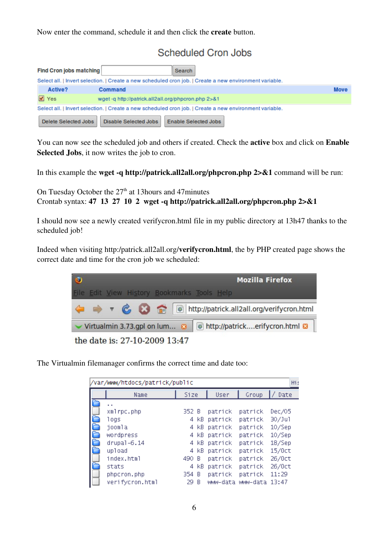Now enter the command, schedule it and then click the create button.

### **Scheduled Cron Jobs**

|                                                                                                         | <b>Find Cron jobs matching</b>                                                                          | <b>Search</b>                                       |             |  |  |
|---------------------------------------------------------------------------------------------------------|---------------------------------------------------------------------------------------------------------|-----------------------------------------------------|-------------|--|--|
|                                                                                                         | Select all.   Invert selection.   Create a new scheduled cron job.   Create a new environment variable. |                                                     |             |  |  |
|                                                                                                         | Active?                                                                                                 | Command                                             | <b>Move</b> |  |  |
|                                                                                                         | $\sqrt{ }$ Yes                                                                                          | wget -q http://patrick.all2all.org/phpcron.php 2>&1 |             |  |  |
| Select all.   Invert selection.   Create a new scheduled cron job.   Create a new environment variable. |                                                                                                         |                                                     |             |  |  |
|                                                                                                         | Delete Selected Jobs                                                                                    | Disable Selected Jobs<br>Enable Selected Jobs       |             |  |  |

You can now see the scheduled job and others if created. Check the active box and click on Enable Selected Jobs, it now writes the job to cron.

In this example the **wget -q http://patrick.all2all.org/phpcron.php**  $2 > 2$  command will be run:

On Tuesday October the 27<sup>th</sup> at 13hours and 47minutes Crontab syntax:  $47 \t13 \t27 \t10 \t2$  wget -q http://patrick.all2all.org/phpcron.php  $2 > & 1$ 

I should now see a newly created verifycron.html file in my public directory at 13h47 thanks to the scheduled job!

Indeed when visiting http:/patrick.all2all.org/verifycron.html, the by PHP created page shows the correct date and time for the cron job we scheduled:



The Virtualmin filemanager confirms the correct time and date too:

|        | /var/www/htdocs/patrick/public                                                                                                |                                                      |                                                          |                                                                                                             |                                                                                                             | Hi:                                                                                                  |
|--------|-------------------------------------------------------------------------------------------------------------------------------|------------------------------------------------------|----------------------------------------------------------|-------------------------------------------------------------------------------------------------------------|-------------------------------------------------------------------------------------------------------------|------------------------------------------------------------------------------------------------------|
|        | Name                                                                                                                          | Size                                                 |                                                          | User                                                                                                        | Group                                                                                                       | Date                                                                                                 |
| À<br>À | xmlrpc.php<br>logs<br>joomla<br>wordpress<br>$drupal-6.14$<br>upload<br>index.html<br>stats<br>phpcron.php<br>verifycron.html | 352 B<br>4<br>4.<br>4<br>4<br>490<br>4.<br>354<br>29 | 4 KB<br>kB.<br>KB.<br>kB.<br>KB.<br>В<br>kB.<br>- B<br>В | patrick<br>patrick<br>patrick<br>patrick<br>patrick<br>patrick<br>patrick<br>patrick<br>patrick<br>www-data | patrick<br>patrick<br>patrick<br>patrick<br>patrick<br>patrick<br>patrick<br>patrick<br>patrick<br>www-data | Dec/05<br>30/Ju1<br>10/Sep<br>$10/$ Sep<br>$18/$ Sep<br>15/0ct<br>26/0ct<br>26/0ct<br>11:29<br>13:47 |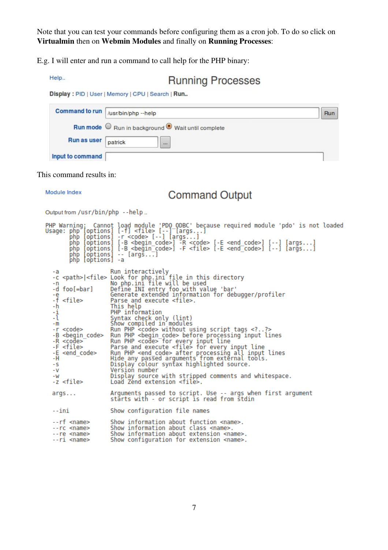Note that you can test your commands before configuring them as a cron job. To do so click on Virtualmin then on Webmin Modules and finally on Running Processes:

E.g. I will enter and run a command to call help for the PHP binary:

```
Help..
```
**Running Processes** 

Display: PID | User | Memory | CPU | Search | Run..



| php [options] -a                                                                                                                                                                                                                                              | PHP Warning: Cannot load module 'PDO ODBC' because required module 'pdo' is not loaded<br>Usage: php [options] [-f] <file> [--] [args]<br/>php [options] -r <code> [--] [args]<br/>php [options] [-B <begin_code>] -R <code> [-E <end_code>] [--] [args]<br/>php [options] [-B <begin_code>] -F <file> [-E <end_code>] [--] [args]<br/>php [options] -- [args]</end_code></file></begin_code></end_code></code></begin_code></code></file>                                                                                                                                                                                                                                                                                                                                                                                                                                                                                           |
|---------------------------------------------------------------------------------------------------------------------------------------------------------------------------------------------------------------------------------------------------------------|--------------------------------------------------------------------------------------------------------------------------------------------------------------------------------------------------------------------------------------------------------------------------------------------------------------------------------------------------------------------------------------------------------------------------------------------------------------------------------------------------------------------------------------------------------------------------------------------------------------------------------------------------------------------------------------------------------------------------------------------------------------------------------------------------------------------------------------------------------------------------------------------------------------------------------------|
| -a<br>-d foo[=bar]<br>-е<br>-ř <file><br/>-ḥ<br/><math>\frac{1}{1}</math><br/><math>-m</math><br/>-r <code><br/><math>-R &lt;</math>code&gt;<br/>-F <file><br/>-E <end code=""><br/>-н<br/>- S<br/>- V<br/>-W<br/>-z <file></file></end></file></code></file> | Run interactively<br>-c <path> <file> Look for php.ini file in this directory<br/>-n _ _ _ _ _ No php.ini file will be used<br/>Define INI entry foo with value 'bar'<br/>Generate extended information for debugger/profiler<br/>Parse and execute <file>.<br/>This help<br/>PHP information<br/>Syntax check only (lint)<br/>Show compiled in modules<br/>Run PHP <code> without using script tags <??><br/>-B <begin_code> Run PHP <begin_code> before processing input lines<br/>Run PHP <code> for every input line<br/>Parse and execute <file> for every input line<br/>Run PHP <end code=""> after processing all input lines<br/>Hide any passed arguments from external tools.<br/>Display colour syntax highlighted source.<br/>Version number<br/>Display source with stripped comments and whitespace.<br/>Load Zend extension <file>.</file></end></file></code></begin_code></begin_code></code></file></file></path> |
| args                                                                                                                                                                                                                                                          | Arguments passed to script. Use -- args when first argument<br>stärts with - or script is read from stdin                                                                                                                                                                                                                                                                                                                                                                                                                                                                                                                                                                                                                                                                                                                                                                                                                            |
| --ini                                                                                                                                                                                                                                                         | Show configuration file names                                                                                                                                                                                                                                                                                                                                                                                                                                                                                                                                                                                                                                                                                                                                                                                                                                                                                                        |
| --rf <name><br/>--rc <name><br/>--re <name><br/>--ri <name></name></name></name></name>                                                                                                                                                                       | Show information about function <name>.<br/>Show information about class <name>.<br/>Show information about extension <name>.<br/>Show configuration for extension <name>.</name></name></name></name>                                                                                                                                                                                                                                                                                                                                                                                                                                                                                                                                                                                                                                                                                                                               |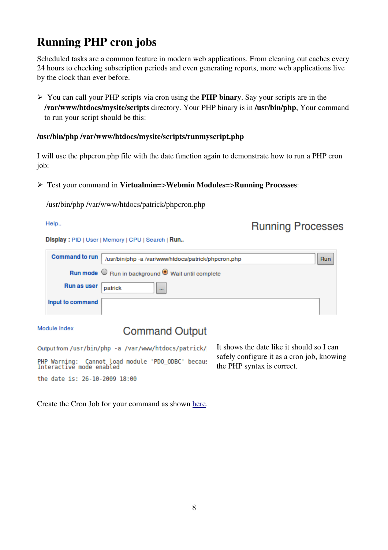## Running PHP cron jobs

Scheduled tasks are a common feature in modern web applications. From cleaning out caches every 24 hours to checking subscription periods and even generating reports, more web applications live by the clock than ever before.

➢ You can call your PHP scripts via cron using the PHP binary. Say your scripts are in the /var/www/htdocs/mysite/scripts directory. Your PHP binary is in /usr/bin/php, Your command to run your script should be this:

#### /usr/bin/php /var/www/htdocs/mysite/scripts/runmyscript.php

I will use the phpcron.php file with the date function again to demonstrate how to run a PHP cron job:

#### ➢ Test your command in Virtualmin=>Webmin Modules=>Running Processes:

/usr/bin/php /var/www/htdocs/patrick/phpcron.php

#### Help..

### **Running Processes**

Display: PID | User | Memory | CPU | Search | Run..

| Command to run      | /usr/bin/php -a /var/www/htdocs/patrick/phpcron.php | Run |
|---------------------|-----------------------------------------------------|-----|
|                     | Run mode O Run in background O Wait until complete  |     |
| Run as user patrick | $\cdots$                                            |     |
| Input to command    |                                                     |     |

Module Index

### **Command Output**

Output from /usr/bin/php -a /var/www/htdocs/patrick/ PHP Warning: Cannot load module 'PDO\_ODBC' becaus<br>Interactive mode enabled the date is: 26-10-2009 18:00

It shows the date like it should so I can safely configure it as a cron job, knowing the PHP syntax is correct.

Create the Cron Job for your command as shown [here.](#page-4-0)